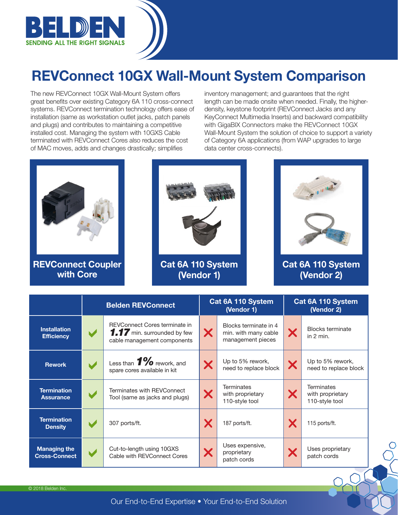

## REVConnect 10GX Wall-Mount System Comparison

The new REVConnect 10GX Wall-Mount System offers great benefits over existing Category 6A 110 cross-connect systems. REVConnect termination technology offers ease of installation (same as workstation outlet jacks, patch panels and plugs) and contributes to maintaining a competitive installed cost. Managing the system with 10GXS Cable terminated with REVConnect Cores also reduces the cost of MAC moves, adds and changes drastically; simplifies

inventory management; and guarantees that the right length can be made onsite when needed. Finally, the higherdensity, keystone footprint (REVConnect Jacks and any KeyConnect Multimedia Inserts) and backward compatibility with GigaBIX Connectors make the REVConnect 10GX Wall-Mount System the solution of choice to support a variety of Category 6A applications (from WAP upgrades to large data center cross-connects).



REVConnect Coupler with Core



Cat 6A 110 System (Vendor 1)



Cat 6A 110 System (Vendor 2)

|                                             | <b>Belden REVConnect</b> |                                                                                             | Cat 6A 110 System<br>(Vendor 1) |                                                                    | Cat 6A 110 System<br>(Vendor 2) |                                                         |
|---------------------------------------------|--------------------------|---------------------------------------------------------------------------------------------|---------------------------------|--------------------------------------------------------------------|---------------------------------|---------------------------------------------------------|
| <b>Installation</b><br><b>Efficiency</b>    | $\blacktriangleright$    | REVConnect Cores terminate in<br>1.17 min. surrounded by few<br>cable management components | X                               | Blocks terminate in 4<br>min. with many cable<br>management pieces | X                               | <b>Blocks terminate</b><br>in $2 \text{ min}$ .         |
| <b>Rework</b>                               | $\blacktriangleright$    | Less than $1\%$ rework, and<br>spare cores available in kit                                 |                                 | Up to 5% rework,<br>need to replace block                          | X                               | Up to 5% rework,<br>need to replace block               |
| <b>Termination</b><br><b>Assurance</b>      |                          | Terminates with REVConnect<br>Tool (same as jacks and plugs)                                |                                 | Terminates<br>with proprietary<br>110-style tool                   | X                               | <b>Terminates</b><br>with proprietary<br>110-style tool |
| <b>Termination</b><br><b>Density</b>        | $\blacktriangleright$    | 307 ports/ft.                                                                               |                                 | 187 ports/ft.                                                      | X                               | 115 ports/ft.                                           |
| <b>Managing the</b><br><b>Cross-Connect</b> | $\blacktriangleright$    | Cut-to-length using 10GXS<br>Cable with REVConnect Cores                                    | X                               | Uses expensive,<br>proprietary<br>patch cords                      | X                               | Uses proprietary<br>patch cords                         |